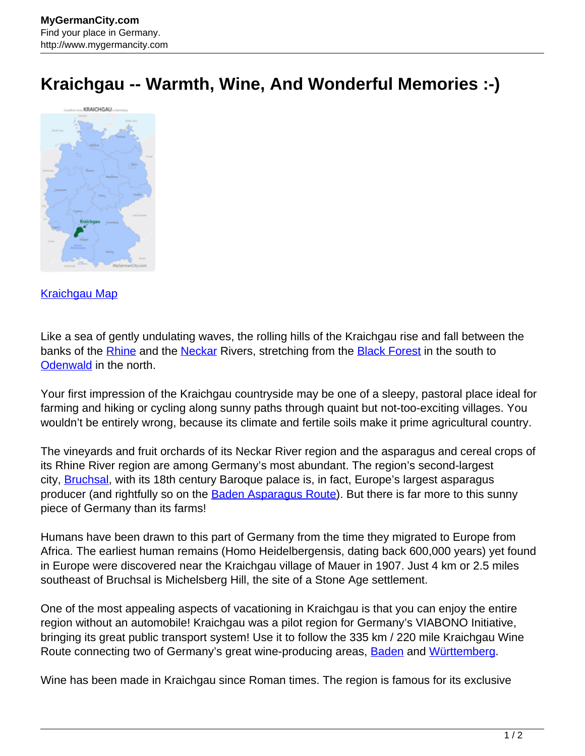## **Kraichgau -- Warmth, Wine, And Wonderful Memories :-)**



## [Kraichgau Map](http://www.mygermancity.com/kraichgau-map)

Like a sea of gently undulating waves, the rolling hills of the Kraichgau rise and fall between the banks of the **Rhine** and the **Neckar** Rivers, stretching from the **Black Forest** in the south to [Odenwald](http://www.mygermancity.com/odenwald) in the north.

Your first impression of the Kraichgau countryside may be one of a sleepy, pastoral place ideal for farming and hiking or cycling along sunny paths through quaint but not-too-exciting villages. You wouldn't be entirely wrong, because its climate and fertile soils make it prime agricultural country.

The vineyards and fruit orchards of its Neckar River region and the asparagus and cereal crops of its Rhine River region are among Germany's most abundant. The region's second-largest city, **Bruchsal**, with its 18th century Baroque palace is, in fact, Europe's largest asparagus producer (and rightfully so on the [Baden Asparagus Route](http://www.mygermancity.com/baden-asparagus-route)). But there is far more to this sunny piece of Germany than its farms!

Humans have been drawn to this part of Germany from the time they migrated to Europe from Africa. The earliest human remains (Homo Heidelbergensis, dating back 600,000 years) yet found in Europe were discovered near the Kraichgau village of Mauer in 1907. Just 4 km or 2.5 miles southeast of Bruchsal is Michelsberg Hill, the site of a Stone Age settlement.

One of the most appealing aspects of vacationing in Kraichgau is that you can enjoy the entire region without an automobile! Kraichgau was a pilot region for Germany's VIABONO Initiative, bringing its great public transport system! Use it to follow the 335 km / 220 mile Kraichgau Wine Route connecting two of Germany's great wine-producing areas, **Baden** and [Württemberg.](http://www.mygermancity.com/wuerttemberg)

Wine has been made in Kraichgau since Roman times. The region is famous for its exclusive